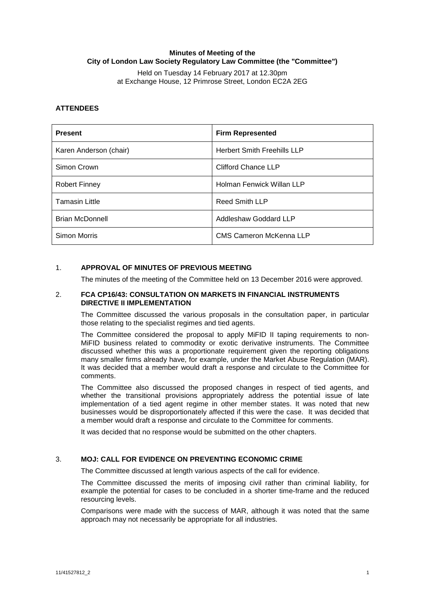# **Minutes of Meeting of the City of London Law Society Regulatory Law Committee (the "Committee")**

Held on Tuesday 14 February 2017 at 12.30pm at Exchange House, 12 Primrose Street, London EC2A 2EG

# **ATTENDEES**

| <b>Present</b>         | <b>Firm Represented</b>            |
|------------------------|------------------------------------|
| Karen Anderson (chair) | <b>Herbert Smith Freehills LLP</b> |
| Simon Crown            | Clifford Chance LLP                |
| <b>Robert Finney</b>   | Holman Fenwick Willan LLP          |
| <b>Tamasin Little</b>  | Reed Smith LLP                     |
| <b>Brian McDonnell</b> | Addleshaw Goddard LLP              |
| Simon Morris           | <b>CMS Cameron McKenna LLP</b>     |

## 1. **APPROVAL OF MINUTES OF PREVIOUS MEETING**

The minutes of the meeting of the Committee held on 13 December 2016 were approved.

## 2. **FCA CP16/43: CONSULTATION ON MARKETS IN FINANCIAL INSTRUMENTS DIRECTIVE II IMPLEMENTATION**

The Committee discussed the various proposals in the consultation paper, in particular those relating to the specialist regimes and tied agents.

The Committee considered the proposal to apply MiFID II taping requirements to non-MiFID business related to commodity or exotic derivative instruments. The Committee discussed whether this was a proportionate requirement given the reporting obligations many smaller firms already have, for example, under the Market Abuse Regulation (MAR). It was decided that a member would draft a response and circulate to the Committee for comments.

The Committee also discussed the proposed changes in respect of tied agents, and whether the transitional provisions appropriately address the potential issue of late implementation of a tied agent regime in other member states. It was noted that new businesses would be disproportionately affected if this were the case. It was decided that a member would draft a response and circulate to the Committee for comments.

It was decided that no response would be submitted on the other chapters.

#### 3. **MOJ: CALL FOR EVIDENCE ON PREVENTING ECONOMIC CRIME**

The Committee discussed at length various aspects of the call for evidence.

The Committee discussed the merits of imposing civil rather than criminal liability, for example the potential for cases to be concluded in a shorter time-frame and the reduced resourcing levels.

Comparisons were made with the success of MAR, although it was noted that the same approach may not necessarily be appropriate for all industries.